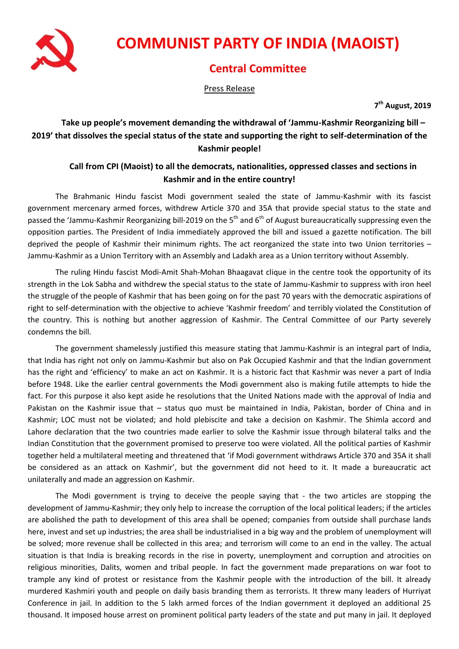

# **COMMUNIST PARTY OF INDIA (MAOIST)**

## **Central Committee**

Press Release

**7 th August, 2019**

### **Take up people's movement demanding the withdrawal of 'Jammu-Kashmir Reorganizing bill – 2019' that dissolves the special status of the state and supporting the right to self-determination of the Kashmir people!**

#### **Call from CPI (Maoist) to all the democrats, nationalities, oppressed classes and sections in Kashmir and in the entire country!**

The Brahmanic Hindu fascist Modi government sealed the state of Jammu-Kashmir with its fascist government mercenary armed forces, withdrew Article 370 and 35A that provide special status to the state and passed the 'Jammu-Kashmir Reorganizing bill-2019 on the 5<sup>th</sup> and 6<sup>th</sup> of August bureaucratically suppressing even the opposition parties. The President of India immediately approved the bill and issued a gazette notification. The bill deprived the people of Kashmir their minimum rights. The act reorganized the state into two Union territories – Jammu-Kashmir as a Union Territory with an Assembly and Ladakh area as a Union territory without Assembly.

The ruling Hindu fascist Modi-Amit Shah-Mohan Bhaagavat clique in the centre took the opportunity of its strength in the Lok Sabha and withdrew the special status to the state of Jammu-Kashmir to suppress with iron heel the struggle of the people of Kashmir that has been going on for the past 70 years with the democratic aspirations of right to self-determination with the objective to achieve 'Kashmir freedom' and terribly violated the Constitution of the country. This is nothing but another aggression of Kashmir. The Central Committee of our Party severely condemns the bill.

The government shamelessly justified this measure stating that Jammu-Kashmir is an integral part of India, that India has right not only on Jammu-Kashmir but also on Pak Occupied Kashmir and that the Indian government has the right and 'efficiency' to make an act on Kashmir. It is a historic fact that Kashmir was never a part of India before 1948. Like the earlier central governments the Modi government also is making futile attempts to hide the fact. For this purpose it also kept aside he resolutions that the United Nations made with the approval of India and Pakistan on the Kashmir issue that – status quo must be maintained in India, Pakistan, border of China and in Kashmir; LOC must not be violated; and hold plebiscite and take a decision on Kashmir. The Shimla accord and Lahore declaration that the two countries made earlier to solve the Kashmir issue through bilateral talks and the Indian Constitution that the government promised to preserve too were violated. All the political parties of Kashmir together held a multilateral meeting and threatened that 'if Modi government withdraws Article 370 and 35A it shall be considered as an attack on Kashmir', but the government did not heed to it. It made a bureaucratic act unilaterally and made an aggression on Kashmir.

The Modi government is trying to deceive the people saying that - the two articles are stopping the development of Jammu-Kashmir; they only help to increase the corruption of the local political leaders; if the articles are abolished the path to development of this area shall be opened; companies from outside shall purchase lands here, invest and set up industries; the area shall be industrialised in a big way and the problem of unemployment will be solved; more revenue shall be collected in this area; and terrorism will come to an end in the valley. The actual situation is that India is breaking records in the rise in poverty, unemployment and corruption and atrocities on religious minorities, Dalits, women and tribal people. In fact the government made preparations on war foot to trample any kind of protest or resistance from the Kashmir people with the introduction of the bill. It already murdered Kashmiri youth and people on daily basis branding them as terrorists. It threw many leaders of Hurriyat Conference in jail. In addition to the 5 lakh armed forces of the Indian government it deployed an additional 25 thousand. It imposed house arrest on prominent political party leaders of the state and put many in jail. It deployed